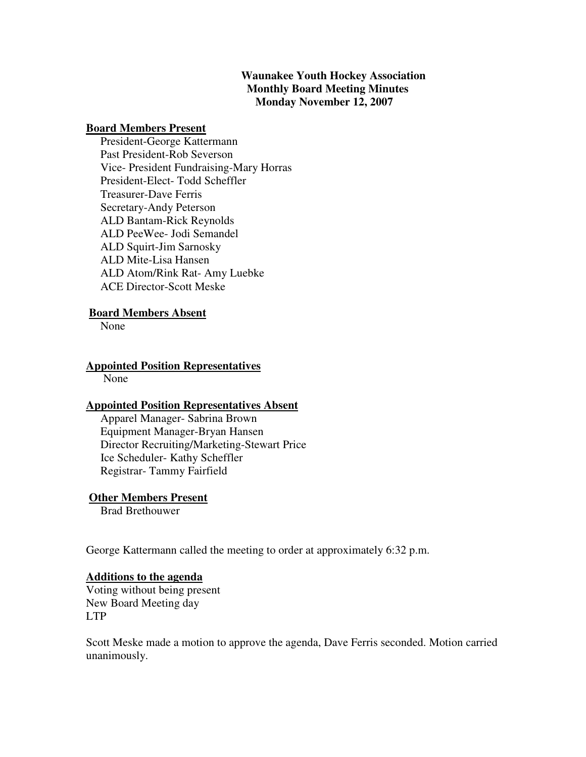## **Waunakee Youth Hockey Association Monthly Board Meeting Minutes Monday November 12, 2007**

#### **Board Members Present**

 President-George Kattermann Past President-Rob Severson Vice- President Fundraising-Mary Horras President-Elect- Todd Scheffler Treasurer-Dave Ferris Secretary-Andy Peterson ALD Bantam-Rick Reynolds ALD PeeWee- Jodi Semandel ALD Squirt-Jim Sarnosky ALD Mite-Lisa Hansen ALD Atom/Rink Rat- Amy Luebke ACE Director-Scott Meske

## **Board Members Absent**

None

## **Appointed Position Representatives**

None

## **Appointed Position Representatives Absent**

 Apparel Manager- Sabrina Brown Equipment Manager-Bryan Hansen Director Recruiting/Marketing-Stewart Price Ice Scheduler- Kathy Scheffler Registrar- Tammy Fairfield

## **Other Members Present**

Brad Brethouwer

George Kattermann called the meeting to order at approximately 6:32 p.m.

## **Additions to the agenda**

Voting without being present New Board Meeting day LTP

Scott Meske made a motion to approve the agenda, Dave Ferris seconded. Motion carried unanimously.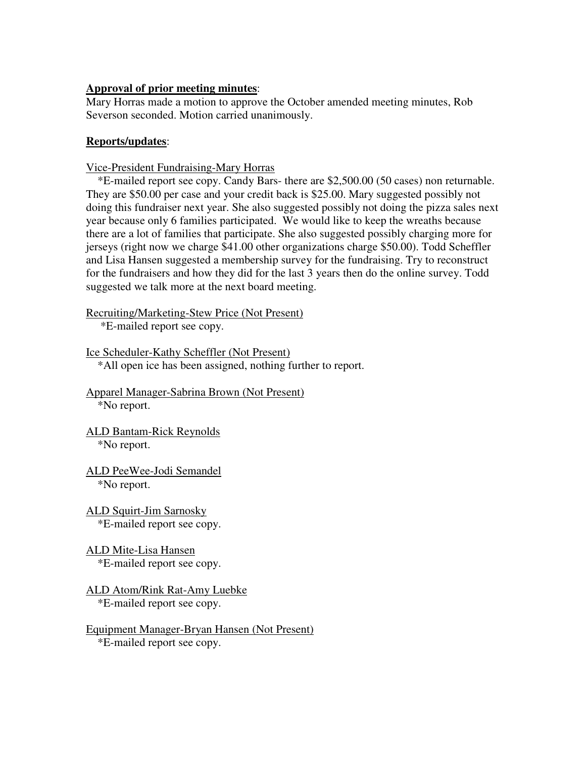## **Approval of prior meeting minutes**:

Mary Horras made a motion to approve the October amended meeting minutes, Rob Severson seconded. Motion carried unanimously.

## **Reports/updates**:

Vice-President Fundraising-Mary Horras

\*E-mailed report see copy. Candy Bars- there are \$2,500.00 (50 cases) non returnable. They are \$50.00 per case and your credit back is \$25.00. Mary suggested possibly not doing this fundraiser next year. She also suggested possibly not doing the pizza sales next year because only 6 families participated. We would like to keep the wreaths because there are a lot of families that participate. She also suggested possibly charging more for jerseys (right now we charge \$41.00 other organizations charge \$50.00). Todd Scheffler and Lisa Hansen suggested a membership survey for the fundraising. Try to reconstruct for the fundraisers and how they did for the last 3 years then do the online survey. Todd suggested we talk more at the next board meeting.

Recruiting/Marketing-Stew Price (Not Present)

\*E-mailed report see copy.

Ice Scheduler-Kathy Scheffler (Not Present)

\*All open ice has been assigned, nothing further to report.

Apparel Manager-Sabrina Brown (Not Present) \*No report.

- ALD Bantam-Rick Reynolds \*No report.
- ALD PeeWee-Jodi Semandel \*No report.
- ALD Squirt-Jim Sarnosky \*E-mailed report see copy.
- ALD Mite-Lisa Hansen \*E-mailed report see copy.
- ALD Atom/Rink Rat-Amy Luebke \*E-mailed report see copy.

Equipment Manager-Bryan Hansen (Not Present) \*E-mailed report see copy.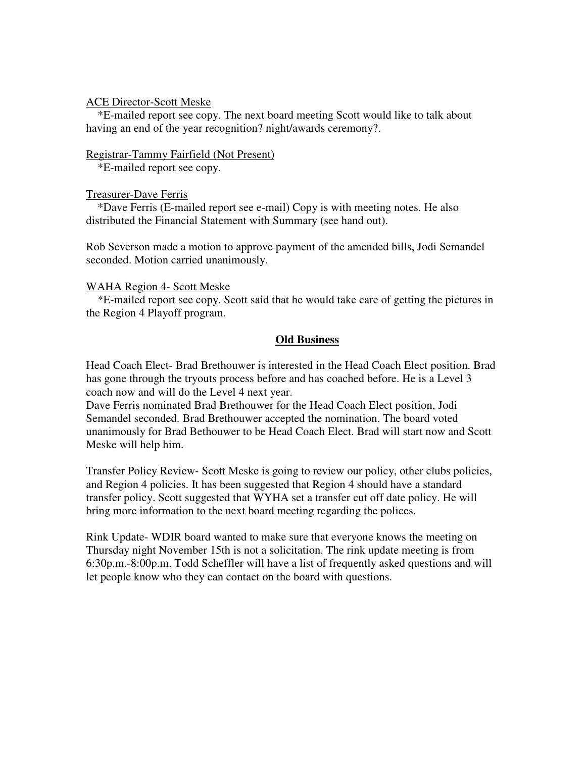#### ACE Director-Scott Meske

 \*E-mailed report see copy. The next board meeting Scott would like to talk about having an end of the year recognition? night/awards ceremony?.

#### Registrar-Tammy Fairfield (Not Present)

\*E-mailed report see copy.

## Treasurer-Dave Ferris

 \*Dave Ferris (E-mailed report see e-mail) Copy is with meeting notes. He also distributed the Financial Statement with Summary (see hand out).

Rob Severson made a motion to approve payment of the amended bills, Jodi Semandel seconded. Motion carried unanimously.

## WAHA Region 4- Scott Meske

 \*E-mailed report see copy. Scott said that he would take care of getting the pictures in the Region 4 Playoff program.

## **Old Business**

Head Coach Elect- Brad Brethouwer is interested in the Head Coach Elect position. Brad has gone through the tryouts process before and has coached before. He is a Level 3 coach now and will do the Level 4 next year.

Dave Ferris nominated Brad Brethouwer for the Head Coach Elect position, Jodi Semandel seconded. Brad Brethouwer accepted the nomination. The board voted unanimously for Brad Bethouwer to be Head Coach Elect. Brad will start now and Scott Meske will help him.

Transfer Policy Review- Scott Meske is going to review our policy, other clubs policies, and Region 4 policies. It has been suggested that Region 4 should have a standard transfer policy. Scott suggested that WYHA set a transfer cut off date policy. He will bring more information to the next board meeting regarding the polices.

Rink Update- WDIR board wanted to make sure that everyone knows the meeting on Thursday night November 15th is not a solicitation. The rink update meeting is from 6:30p.m.-8:00p.m. Todd Scheffler will have a list of frequently asked questions and will let people know who they can contact on the board with questions.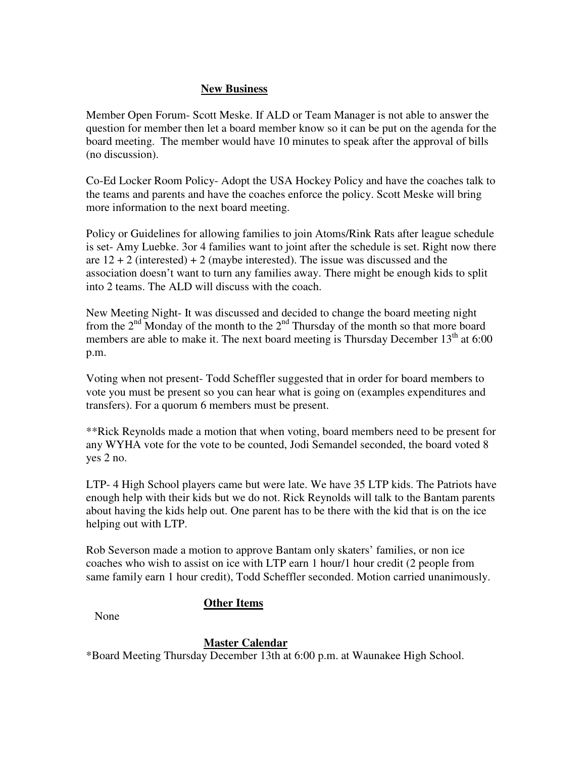# **New Business**

Member Open Forum- Scott Meske. If ALD or Team Manager is not able to answer the question for member then let a board member know so it can be put on the agenda for the board meeting. The member would have 10 minutes to speak after the approval of bills (no discussion).

Co-Ed Locker Room Policy- Adopt the USA Hockey Policy and have the coaches talk to the teams and parents and have the coaches enforce the policy. Scott Meske will bring more information to the next board meeting.

Policy or Guidelines for allowing families to join Atoms/Rink Rats after league schedule is set- Amy Luebke. 3or 4 families want to joint after the schedule is set. Right now there are  $12 + 2$  (interested) + 2 (maybe interested). The issue was discussed and the association doesn't want to turn any families away. There might be enough kids to split into 2 teams. The ALD will discuss with the coach.

New Meeting Night- It was discussed and decided to change the board meeting night from the  $2<sup>nd</sup>$  Monday of the month to the  $2<sup>nd</sup>$  Thursday of the month so that more board members are able to make it. The next board meeting is Thursday December  $13<sup>th</sup>$  at 6:00 p.m.

Voting when not present- Todd Scheffler suggested that in order for board members to vote you must be present so you can hear what is going on (examples expenditures and transfers). For a quorum 6 members must be present.

\*\*Rick Reynolds made a motion that when voting, board members need to be present for any WYHA vote for the vote to be counted, Jodi Semandel seconded, the board voted 8 yes 2 no.

LTP- 4 High School players came but were late. We have 35 LTP kids. The Patriots have enough help with their kids but we do not. Rick Reynolds will talk to the Bantam parents about having the kids help out. One parent has to be there with the kid that is on the ice helping out with LTP.

Rob Severson made a motion to approve Bantam only skaters' families, or non ice coaches who wish to assist on ice with LTP earn 1 hour/1 hour credit (2 people from same family earn 1 hour credit), Todd Scheffler seconded. Motion carried unanimously.

# **Other Items**

None

# **Master Calendar**

\*Board Meeting Thursday December 13th at 6:00 p.m. at Waunakee High School.